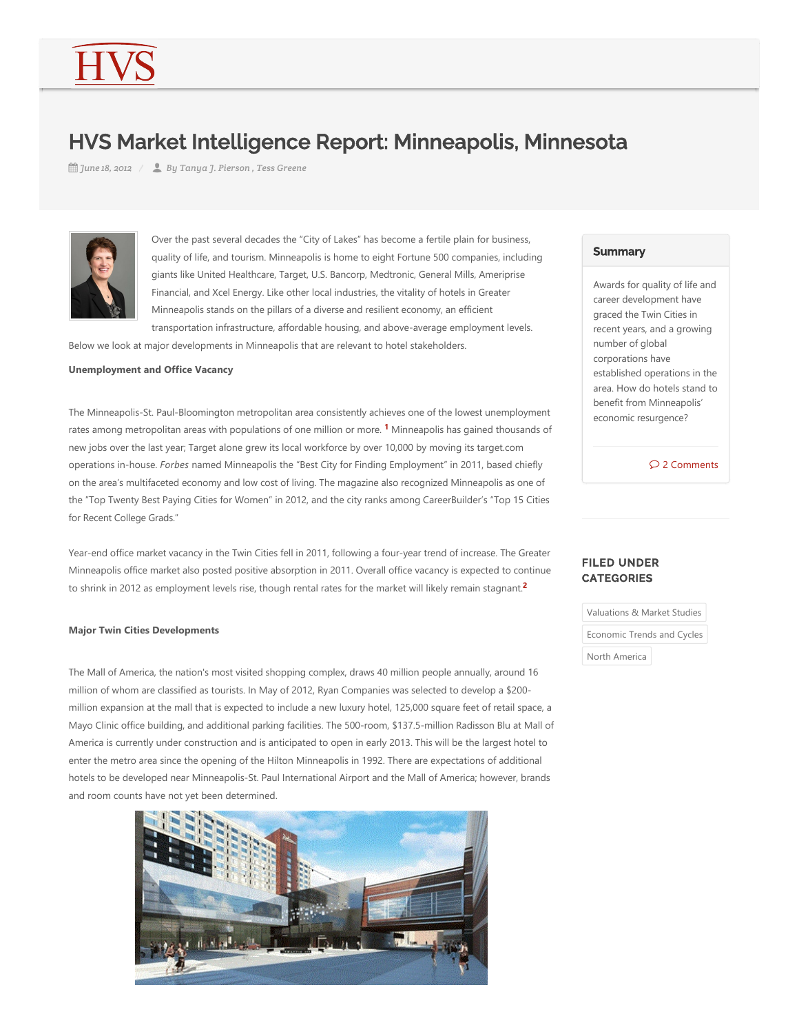# HVS Market Intelligence Report: Minneapolis, Minnesota

*June 18, 2012 By Tanya J. Pierson , Tess Greene*



Over the past several decades the "City of Lakes" has become a fertile plain for business, quality of life, and tourism. Minneapolis is home to eight Fortune 500 companies, including giants like United Healthcare, Target, U.S. Bancorp, Medtronic, General Mills, Ameriprise Financial, and Xcel Energy. Like other local industries, the vitality of hotels in Greater Minneapolis stands on the pillars of a diverse and resilient economy, an efficient transportation infrastructure, affordable housing, and above‐average employment levels.

Below we look at major developments in Minneapolis that are relevant to hotel stakeholders.

**Unemployment and Office Vacancy**

The Minneapolis‐St. Paul‐Bloomington metropolitan area consistently achieves one of the lowest unemployment rates among metropolitan areas with populations of one million or more. <sup>1</sup> Minneapolis has gained thousands of new jobs over the last year; Target alone grew its local workforce by over 10,000 by moving its target.com operations in‐house. *Forbes* named Minneapolis the "Best City for Finding Employment" in 2011, based chiefly on the area's multifaceted economy and low cost of living. The magazine also recognized Minneapolis as one of the "Top Twenty Best Paying Cities for Women" in 2012, and the city ranks among CareerBuilder's "Top 15 Cities for Recent College Grads."

Year-end office market vacancy in the Twin Cities fell in 2011, following a four-year trend of increase. The Greater Minneapolis office market also posted positive absorption in 2011. Overall office vacancy is expected to continue to shrink in 2012 as employment levels rise, though rental rates for the market will likely remain stagnant. **2**

### **Major Twin Cities Developments**

The Mall of America, the nation's most visited shopping complex, draws 40 million people annually, around 16 million of whom are classified as tourists. In May of 2012, Ryan Companies was selected to develop a \$200‐ million expansion at the mall that is expected to include a new luxury hotel, 125,000 square feet of retail space, a Mayo Clinic office building, and additional parking facilities. The 500‐room, \$137.5‐million Radisson Blu at Mall of America is currently under construction and is anticipated to open in early 2013. This will be the largest hotel to enter the metro area since the opening of the Hilton Minneapolis in 1992. There are expectations of additional hotels to be developed near Minneapolis‐St. Paul International Airport and the Mall of America; however, brands and room counts have not yet been determined.



## **Summary**

Awards for quality of life and career development have graced the Twin Cities in recent years, and a growing number of global corporations have established operations in the area. How do hotels stand to benefit from Minneapolis' economic resurgence?

2 Comments

# <span id="page-0-1"></span><span id="page-0-0"></span>FILED UNDER CATEGORIES

Valuations & Market Studies

Economic Trends and Cycles

North America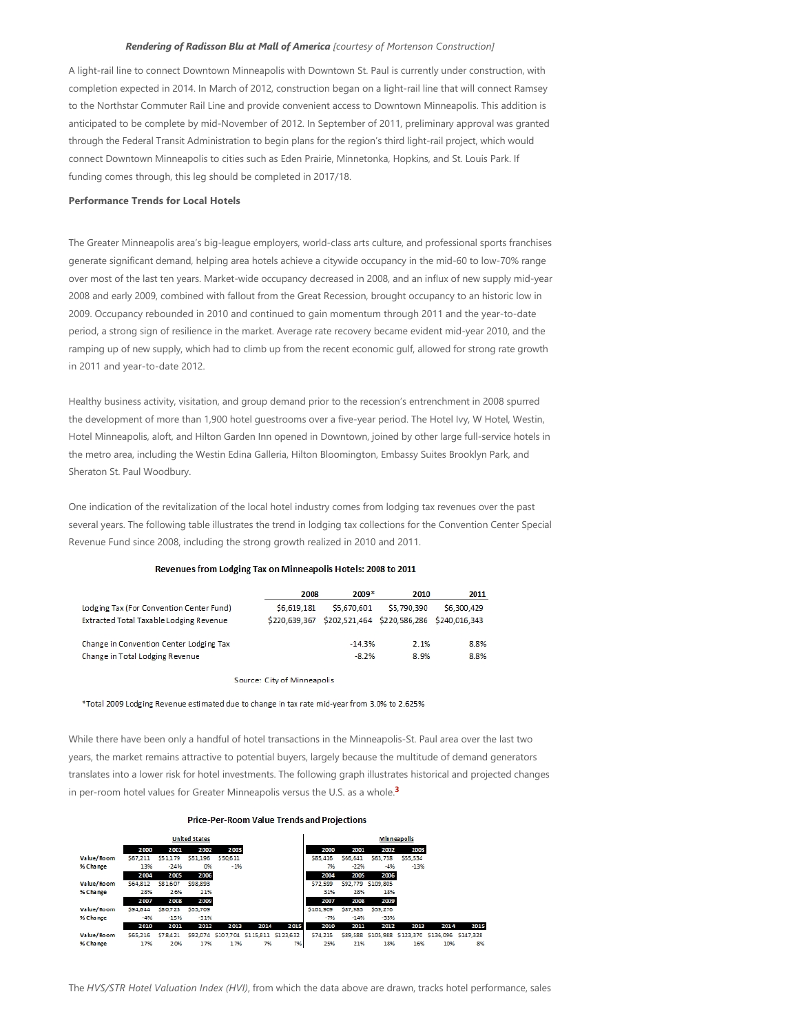#### *Rendering of Radisson Blu at Mall of America [courtesy of Mortenson Construction]*

A light‐rail line to connect Downtown Minneapolis with Downtown St. Paul is currently under construction, with completion expected in 2014. In March of 2012, construction began on a light-rail line that will connect Ramsey to the Northstar Commuter Rail Line and provide convenient access to Downtown Minneapolis. This addition is anticipated to be complete by mid‐November of 2012. In September of 2011, preliminary approval was granted through the Federal Transit Administration to begin plans for the region's third light‐rail project, which would connect Downtown Minneapolis to cities such as Eden Prairie, Minnetonka, Hopkins, and St. Louis Park. If funding comes through, this leg should be completed in 2017/18.

#### **Performance Trends for Local Hotels**

The Greater Minneapolis area's big-league employers, world-class arts culture, and professional sports franchises generate significant demand, helping area hotels achieve a citywide occupancy in the mid‐60 to low‐70% range over most of the last ten years. Market‐wide occupancy decreased in 2008, and an influx of new supply mid‐year 2008 and early 2009, combined with fallout from the Great Recession, brought occupancy to an historic low in 2009. Occupancy rebounded in 2010 and continued to gain momentum through 2011 and the year-to-date period, a strong sign of resilience in the market. Average rate recovery became evident mid-year 2010, and the ramping up of new supply, which had to climb up from the recent economic gulf, allowed for strong rate growth in 2011 and year‐to‐date 2012.

Healthy business activity, visitation, and group demand prior to the recession's entrenchment in 2008 spurred the development of more than 1,900 hotel guestrooms over a five-year period. The Hotel Ivy, W Hotel, Westin, Hotel Minneapolis, aloft, and Hilton Garden Inn opened in Downtown, joined by other large full‐service hotels in the metro area, including the Westin Edina Galleria, Hilton Bloomington, Embassy Suites Brooklyn Park, and Sheraton St. Paul Woodbury.

One indication of the revitalization of the local hotel industry comes from lodging tax revenues over the past several years. The following table illustrates the trend in lodging tax collections for the Convention Center Special Revenue Fund since 2008, including the strong growth realized in 2010 and 2011.

#### Revenues from Lodging Tax on Minneapolis Hotels: 2008 to 2011

|                                          | 2008        | $2009*$                                                 | 2010        | 2011        |
|------------------------------------------|-------------|---------------------------------------------------------|-------------|-------------|
| Lodging Tax (For Convention Center Fund) | \$6,619,181 | \$5,670,601                                             | \$5,790.390 | \$6,300,429 |
| Extracted Total Taxable Lodging Revenue  |             | \$220.639.367 \$202.521.464 \$220.586.286 \$240.016.343 |             |             |
| Change in Convention Center Lodging Tax  |             | $-14.3%$                                                | 2.1%        | 8.8%        |
|                                          |             |                                                         |             |             |
| Change in Total Lodging Revenue          |             | $-8.2%$                                                 | 8.9%        | 8.8%        |

<span id="page-1-0"></span>Source: City of Minneapolis

\*Total 2009 Lodging Revenue estimated due to change in tax rate mid-year from 3.0% to 2.625%

While there have been only a handful of hotel transactions in the Minneapolis‐St. Paul area over the last two years, the market remains attractive to potential buyers, largely because the multitude of demand generators translates into a lower risk for hotel investments. The following graph illustrates historical and projected changes in per‐room hotel values for Greater Minneapolis versus the U.S. as a whole. **3**